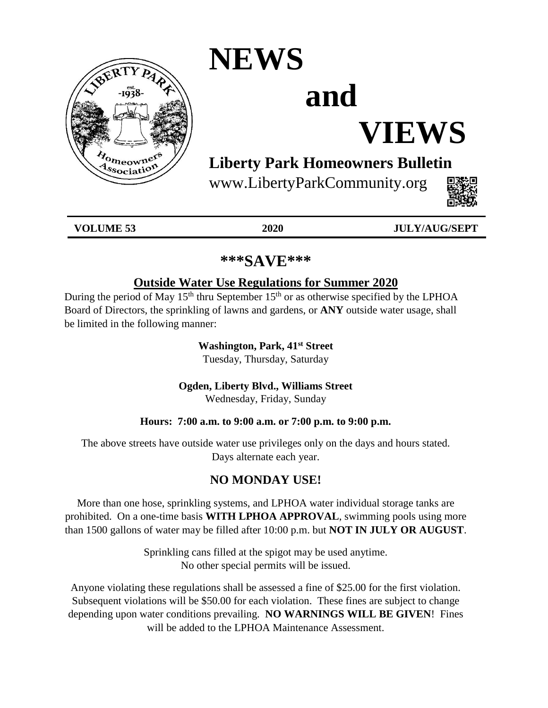

# **NEWS**

# **and**

# **VIEWS**

# **Liberty Park Homeowners Bulletin**

www.LibertyParkCommunity.org



| VOLUME 53<br>ັບ | 2020 | V/AIIC/CEDT<br>$\overline{ }$<br>- -<br>$\overline{\phantom{0}}$ |
|-----------------|------|------------------------------------------------------------------|
|                 |      |                                                                  |

# **\*\*\*SAVE\*\*\***

# **Outside Water Use Regulations for Summer 2020**

During the period of May 15<sup>th</sup> thru September 15<sup>th</sup> or as otherwise specified by the LPHOA Board of Directors, the sprinkling of lawns and gardens, or **ANY** outside water usage, shall be limited in the following manner:

> **Washington, Park, 41st Street** Tuesday, Thursday, Saturday

**Ogden, Liberty Blvd., Williams Street**

Wednesday, Friday, Sunday

# **Hours: 7:00 a.m. to 9:00 a.m. or 7:00 p.m. to 9:00 p.m.**

The above streets have outside water use privileges only on the days and hours stated. Days alternate each year.

# **NO MONDAY USE!**

More than one hose, sprinkling systems, and LPHOA water individual storage tanks are prohibited. On a one-time basis **WITH LPHOA APPROVAL**, swimming pools using more than 1500 gallons of water may be filled after 10:00 p.m. but **NOT IN JULY OR AUGUST**.

> Sprinkling cans filled at the spigot may be used anytime. No other special permits will be issued.

Anyone violating these regulations shall be assessed a fine of \$25.00 for the first violation. Subsequent violations will be \$50.00 for each violation. These fines are subject to change depending upon water conditions prevailing. **NO WARNINGS WILL BE GIVEN**! Fines will be added to the LPHOA Maintenance Assessment.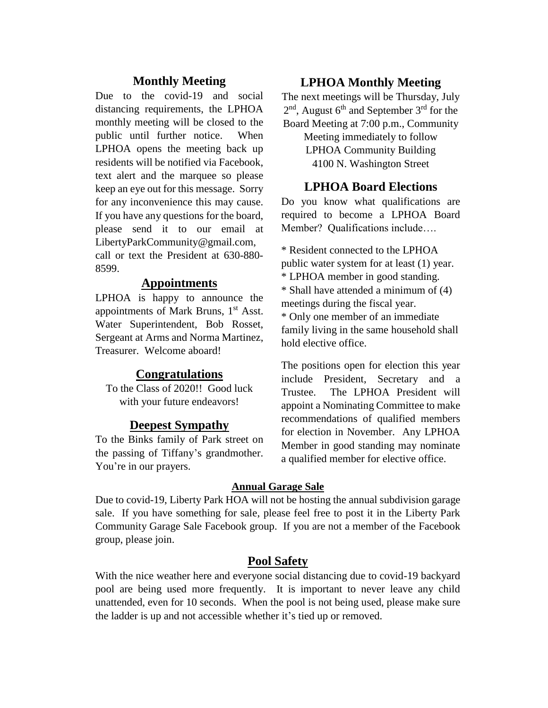# **Monthly Meeting**

Due to the covid-19 and social distancing requirements, the LPHOA monthly meeting will be closed to the public until further notice. When LPHOA opens the meeting back up residents will be notified via Facebook, text alert and the marquee so please keep an eye out for this message. Sorry for any inconvenience this may cause. If you have any questions for the board, please send it to our email at LibertyParkCommunity@gmail.com, call or text the President at 630-880- 8599.

## **Appointments**

LPHOA is happy to announce the appointments of Mark Bruns, 1<sup>st</sup> Asst. Water Superintendent, Bob Rosset, Sergeant at Arms and Norma Martinez, Treasurer. Welcome aboard!

### **Congratulations**

To the Class of 2020!! Good luck with your future endeavors!

#### **Deepest Sympathy**

To the Binks family of Park street on the passing of Tiffany's grandmother. You're in our prayers.

#### **LPHOA Monthly Meeting**

The next meetings will be Thursday, July  $2<sup>nd</sup>$ , August 6<sup>th</sup> and September 3<sup>rd</sup> for the Board Meeting at 7:00 p.m., Community Meeting immediately to follow LPHOA Community Building

4100 N. Washington Street

# **LPHOA Board Elections**

Do you know what qualifications are required to become a LPHOA Board Member? Qualifications include….

\* Resident connected to the LPHOA public water system for at least (1) year. \* LPHOA member in good standing. \* Shall have attended a minimum of (4) meetings during the fiscal year. \* Only one member of an immediate family living in the same household shall hold elective office.

The positions open for election this year include President, Secretary and a Trustee. The LPHOA President will appoint a Nominating Committee to make recommendations of qualified members for election in November. Any LPHOA Member in good standing may nominate a qualified member for elective office.

#### **Annual Garage Sale**

Due to covid-19, Liberty Park HOA will not be hosting the annual subdivision garage sale. If you have something for sale, please feel free to post it in the Liberty Park Community Garage Sale Facebook group. If you are not a member of the Facebook group, please join.

### **Pool Safety**

With the nice weather here and everyone social distancing due to covid-19 backyard pool are being used more frequently. It is important to never leave any child unattended, even for 10 seconds. When the pool is not being used, please make sure the ladder is up and not accessible whether it's tied up or removed.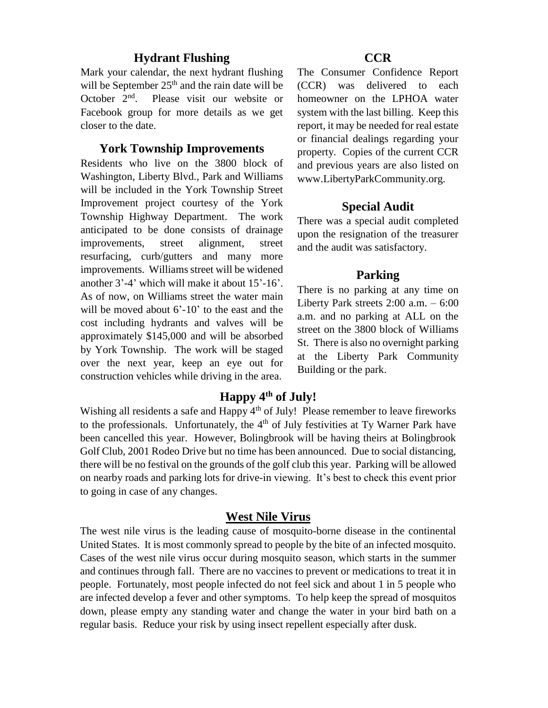### **Hydrant Flushing**

Mark your calendar, the next hydrant flushing will be September  $25<sup>th</sup>$  and the rain date will be October 2<sup>nd</sup> . Please visit our website or Facebook group for more details as we get closer to the date.

#### **York Township Improvements**

Residents who live on the 3800 block of Washington, Liberty Blvd., Park and Williams will be included in the York Township Street Improvement project courtesy of the York Township Highway Department. The work anticipated to be done consists of drainage improvements, street alignment, street resurfacing, curb/gutters and many more improvements. Williams street will be widened another 3'-4' which will make it about 15'-16'. As of now, on Williams street the water main will be moved about  $6'-10'$  to the east and the cost including hydrants and valves will be approximately \$145,000 and will be absorbed by York Township. The work will be staged over the next year, keep an eye out for construction vehicles while driving in the area.

### **CCR**

The Consumer Confidence Report (CCR) was delivered to each homeowner on the LPHOA water system with the last billing. Keep this report, it may be needed for real estate or financial dealings regarding your property. Copies of the current CCR and previous years are also listed on www.LibertyParkCommunity.org.

### **Special Audit**

There was a special audit completed upon the resignation of the treasurer and the audit was satisfactory.

## **Parking**

There is no parking at any time on Liberty Park streets 2:00 a.m. – 6:00 a.m. and no parking at ALL on the street on the 3800 block of Williams St. There is also no overnight parking at the Liberty Park Community Building or the park.

# **Happy 4th of July!**

Wishing all residents a safe and Happy 4<sup>th</sup> of July! Please remember to leave fireworks to the professionals. Unfortunately, the  $4<sup>th</sup>$  of July festivities at Ty Warner Park have been cancelled this year. However, Bolingbrook will be having theirs at Bolingbrook Golf Club, 2001 Rodeo Drive but no time has been announced. Due to social distancing, there will be no festival on the grounds of the golf club this year. Parking will be allowed on nearby roads and parking lots for drive-in viewing. It's best to check this event prior to going in case of any changes.

# **West Nile Virus**

The west nile virus is the leading cause of mosquito-borne disease in the continental United States. It is most commonly spread to people by the bite of an infected mosquito. Cases of the west nile virus occur during mosquito season, which starts in the summer and continues through fall. There are no vaccines to prevent or medications to treat it in people. Fortunately, most people infected do not feel sick and about 1 in 5 people who are infected develop a fever and other symptoms. To help keep the spread of mosquitos down, please empty any standing water and change the water in your bird bath on a regular basis. Reduce your risk by using insect repellent especially after dusk.